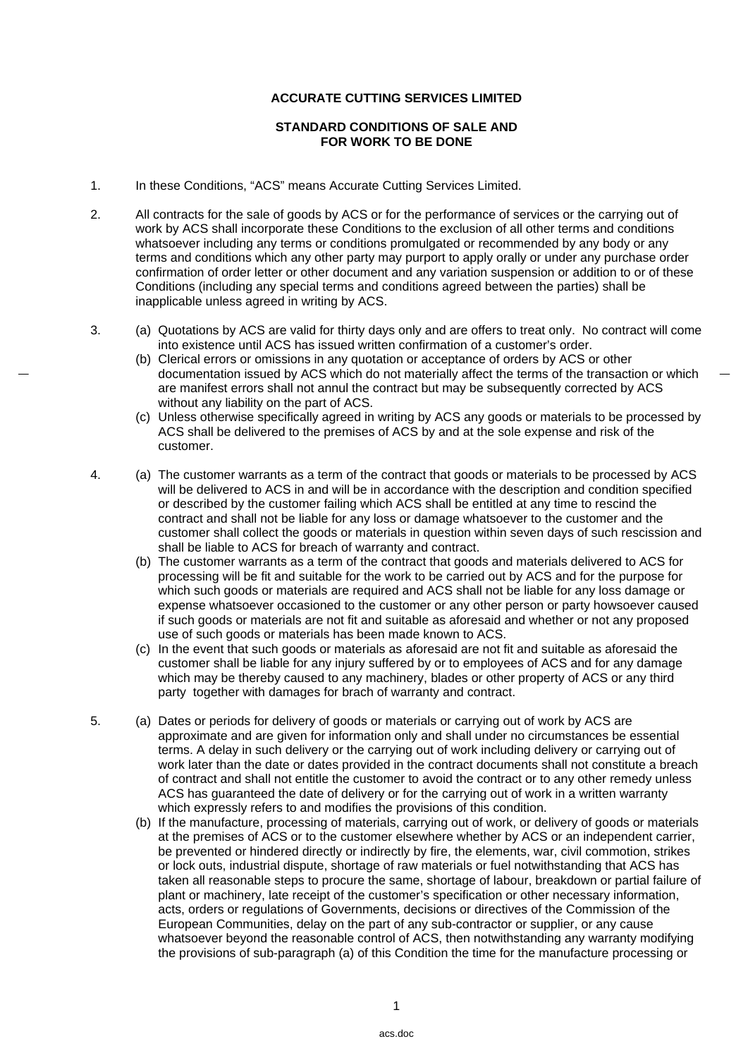## **ACCURATE CUTTING SERVICES LIMITED**

## **STANDARD CONDITIONS OF SALE AND FOR WORK TO BE DONE**

- 1. In these Conditions, "ACS" means Accurate Cutting Services Limited.
- 2. All contracts for the sale of goods by ACS or for the performance of services or the carrying out of work by ACS shall incorporate these Conditions to the exclusion of all other terms and conditions whatsoever including any terms or conditions promulgated or recommended by any body or any terms and conditions which any other party may purport to apply orally or under any purchase order confirmation of order letter or other document and any variation suspension or addition to or of these Conditions (including any special terms and conditions agreed between the parties) shall be inapplicable unless agreed in writing by ACS.
- 3. (a) Quotations by ACS are valid for thirty days only and are offers to treat only. No contract will come into existence until ACS has issued written confirmation of a customer's order.
	- (b) Clerical errors or omissions in any quotation or acceptance of orders by ACS or other documentation issued by ACS which do not materially affect the terms of the transaction or which are manifest errors shall not annul the contract but may be subsequently corrected by ACS without any liability on the part of ACS.
	- (c) Unless otherwise specifically agreed in writing by ACS any goods or materials to be processed by ACS shall be delivered to the premises of ACS by and at the sole expense and risk of the customer.
- 4. (a) The customer warrants as a term of the contract that goods or materials to be processed by ACS will be delivered to ACS in and will be in accordance with the description and condition specified or described by the customer failing which ACS shall be entitled at any time to rescind the contract and shall not be liable for any loss or damage whatsoever to the customer and the customer shall collect the goods or materials in question within seven days of such rescission and shall be liable to ACS for breach of warranty and contract.
	- (b) The customer warrants as a term of the contract that goods and materials delivered to ACS for processing will be fit and suitable for the work to be carried out by ACS and for the purpose for which such goods or materials are required and ACS shall not be liable for any loss damage or expense whatsoever occasioned to the customer or any other person or party howsoever caused if such goods or materials are not fit and suitable as aforesaid and whether or not any proposed use of such goods or materials has been made known to ACS.
	- (c) In the event that such goods or materials as aforesaid are not fit and suitable as aforesaid the customer shall be liable for any injury suffered by or to employees of ACS and for any damage which may be thereby caused to any machinery, blades or other property of ACS or any third party together with damages for brach of warranty and contract.
- 5. (a) Dates or periods for delivery of goods or materials or carrying out of work by ACS are approximate and are given for information only and shall under no circumstances be essential terms. A delay in such delivery or the carrying out of work including delivery or carrying out of work later than the date or dates provided in the contract documents shall not constitute a breach of contract and shall not entitle the customer to avoid the contract or to any other remedy unless ACS has guaranteed the date of delivery or for the carrying out of work in a written warranty which expressly refers to and modifies the provisions of this condition.
	- (b) If the manufacture, processing of materials, carrying out of work, or delivery of goods or materials at the premises of ACS or to the customer elsewhere whether by ACS or an independent carrier, be prevented or hindered directly or indirectly by fire, the elements, war, civil commotion, strikes or lock outs, industrial dispute, shortage of raw materials or fuel notwithstanding that ACS has taken all reasonable steps to procure the same, shortage of labour, breakdown or partial failure of plant or machinery, late receipt of the customer's specification or other necessary information, acts, orders or regulations of Governments, decisions or directives of the Commission of the European Communities, delay on the part of any sub-contractor or supplier, or any cause whatsoever beyond the reasonable control of ACS, then notwithstanding any warranty modifying the provisions of sub-paragraph (a) of this Condition the time for the manufacture processing or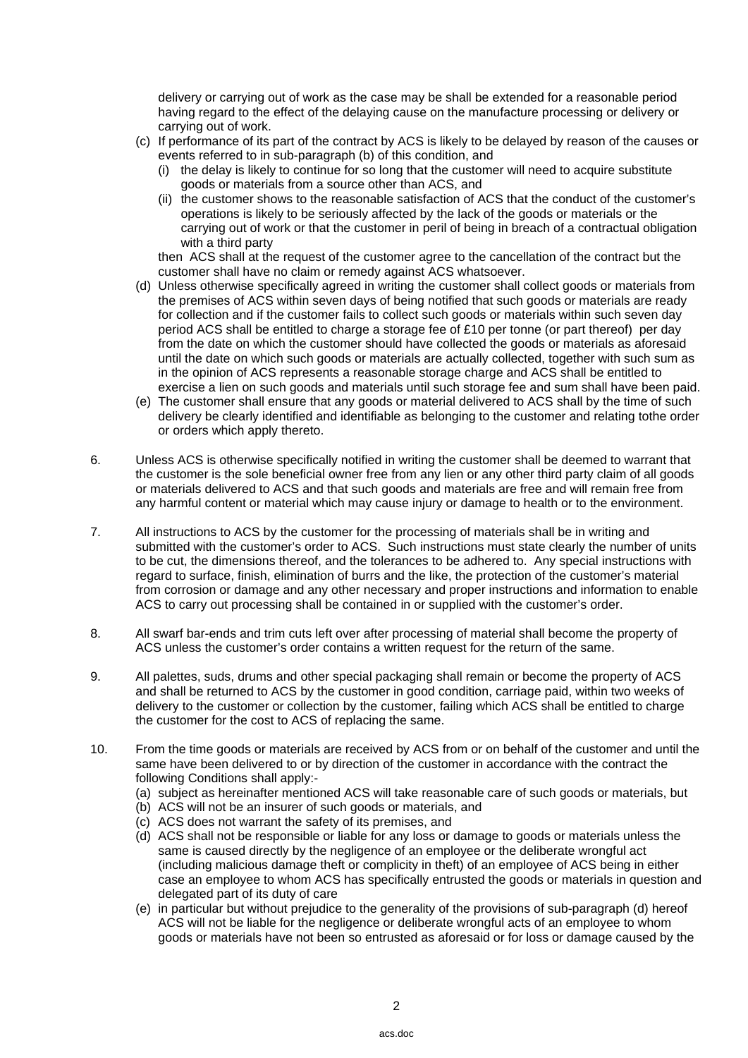delivery or carrying out of work as the case may be shall be extended for a reasonable period having regard to the effect of the delaying cause on the manufacture processing or delivery or carrying out of work.

- (c) If performance of its part of the contract by ACS is likely to be delayed by reason of the causes or events referred to in sub-paragraph (b) of this condition, and
	- (i) the delay is likely to continue for so long that the customer will need to acquire substitute goods or materials from a source other than ACS, and
	- (ii) the customer shows to the reasonable satisfaction of ACS that the conduct of the customer's operations is likely to be seriously affected by the lack of the goods or materials or the carrying out of work or that the customer in peril of being in breach of a contractual obligation with a third party

 then ACS shall at the request of the customer agree to the cancellation of the contract but the customer shall have no claim or remedy against ACS whatsoever.

- (d) Unless otherwise specifically agreed in writing the customer shall collect goods or materials from the premises of ACS within seven days of being notified that such goods or materials are ready for collection and if the customer fails to collect such goods or materials within such seven day period ACS shall be entitled to charge a storage fee of £10 per tonne (or part thereof) per day from the date on which the customer should have collected the goods or materials as aforesaid until the date on which such goods or materials are actually collected, together with such sum as in the opinion of ACS represents a reasonable storage charge and ACS shall be entitled to exercise a lien on such goods and materials until such storage fee and sum shall have been paid.
- (e) The customer shall ensure that any goods or material delivered to ACS shall by the time of such delivery be clearly identified and identifiable as belonging to the customer and relating tothe order or orders which apply thereto.
- 6. Unless ACS is otherwise specifically notified in writing the customer shall be deemed to warrant that the customer is the sole beneficial owner free from any lien or any other third party claim of all goods or materials delivered to ACS and that such goods and materials are free and will remain free from any harmful content or material which may cause injury or damage to health or to the environment.
- 7. All instructions to ACS by the customer for the processing of materials shall be in writing and submitted with the customer's order to ACS. Such instructions must state clearly the number of units to be cut, the dimensions thereof, and the tolerances to be adhered to. Any special instructions with regard to surface, finish, elimination of burrs and the like, the protection of the customer's material from corrosion or damage and any other necessary and proper instructions and information to enable ACS to carry out processing shall be contained in or supplied with the customer's order.
- 8. All swarf bar-ends and trim cuts left over after processing of material shall become the property of ACS unless the customer's order contains a written request for the return of the same.
- 9. All palettes, suds, drums and other special packaging shall remain or become the property of ACS and shall be returned to ACS by the customer in good condition, carriage paid, within two weeks of delivery to the customer or collection by the customer, failing which ACS shall be entitled to charge the customer for the cost to ACS of replacing the same.
- 10. From the time goods or materials are received by ACS from or on behalf of the customer and until the same have been delivered to or by direction of the customer in accordance with the contract the following Conditions shall apply:-
	- (a) subject as hereinafter mentioned ACS will take reasonable care of such goods or materials, but
	- (b) ACS will not be an insurer of such goods or materials, and
	- (c) ACS does not warrant the safety of its premises, and
	- (d) ACS shall not be responsible or liable for any loss or damage to goods or materials unless the same is caused directly by the negligence of an employee or the deliberate wrongful act (including malicious damage theft or complicity in theft) of an employee of ACS being in either case an employee to whom ACS has specifically entrusted the goods or materials in question and delegated part of its duty of care
	- (e) in particular but without prejudice to the generality of the provisions of sub-paragraph (d) hereof ACS will not be liable for the negligence or deliberate wrongful acts of an employee to whom goods or materials have not been so entrusted as aforesaid or for loss or damage caused by the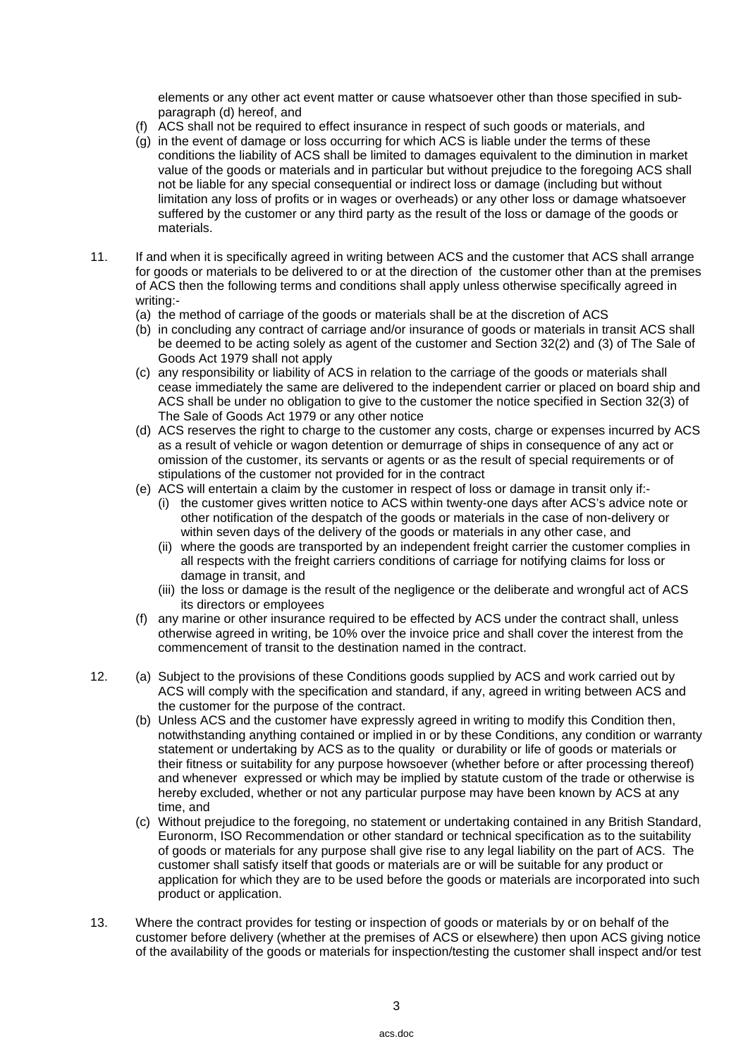elements or any other act event matter or cause whatsoever other than those specified in subparagraph (d) hereof, and

- (f) ACS shall not be required to effect insurance in respect of such goods or materials, and
- (g) in the event of damage or loss occurring for which ACS is liable under the terms of these conditions the liability of ACS shall be limited to damages equivalent to the diminution in market value of the goods or materials and in particular but without prejudice to the foregoing ACS shall not be liable for any special consequential or indirect loss or damage (including but without limitation any loss of profits or in wages or overheads) or any other loss or damage whatsoever suffered by the customer or any third party as the result of the loss or damage of the goods or materials.
- 11. If and when it is specifically agreed in writing between ACS and the customer that ACS shall arrange for goods or materials to be delivered to or at the direction of the customer other than at the premises of ACS then the following terms and conditions shall apply unless otherwise specifically agreed in writing:-
	- (a) the method of carriage of the goods or materials shall be at the discretion of ACS
	- (b) in concluding any contract of carriage and/or insurance of goods or materials in transit ACS shall be deemed to be acting solely as agent of the customer and Section 32(2) and (3) of The Sale of Goods Act 1979 shall not apply
	- (c) any responsibility or liability of ACS in relation to the carriage of the goods or materials shall cease immediately the same are delivered to the independent carrier or placed on board ship and ACS shall be under no obligation to give to the customer the notice specified in Section 32(3) of The Sale of Goods Act 1979 or any other notice
	- (d) ACS reserves the right to charge to the customer any costs, charge or expenses incurred by ACS as a result of vehicle or wagon detention or demurrage of ships in consequence of any act or omission of the customer, its servants or agents or as the result of special requirements or of stipulations of the customer not provided for in the contract
	- (e) ACS will entertain a claim by the customer in respect of loss or damage in transit only if:-
		- (i) the customer gives written notice to ACS within twenty-one days after ACS's advice note or other notification of the despatch of the goods or materials in the case of non-delivery or within seven days of the delivery of the goods or materials in any other case, and
		- (ii) where the goods are transported by an independent freight carrier the customer complies in all respects with the freight carriers conditions of carriage for notifying claims for loss or damage in transit, and
		- (iii) the loss or damage is the result of the negligence or the deliberate and wrongful act of ACS its directors or employees
	- (f) any marine or other insurance required to be effected by ACS under the contract shall, unless otherwise agreed in writing, be 10% over the invoice price and shall cover the interest from the commencement of transit to the destination named in the contract.
- 12. (a) Subject to the provisions of these Conditions goods supplied by ACS and work carried out by ACS will comply with the specification and standard, if any, agreed in writing between ACS and the customer for the purpose of the contract.
	- (b) Unless ACS and the customer have expressly agreed in writing to modify this Condition then, notwithstanding anything contained or implied in or by these Conditions, any condition or warranty statement or undertaking by ACS as to the quality or durability or life of goods or materials or their fitness or suitability for any purpose howsoever (whether before or after processing thereof) and whenever expressed or which may be implied by statute custom of the trade or otherwise is hereby excluded, whether or not any particular purpose may have been known by ACS at any time, and
	- (c) Without prejudice to the foregoing, no statement or undertaking contained in any British Standard, Euronorm, ISO Recommendation or other standard or technical specification as to the suitability of goods or materials for any purpose shall give rise to any legal liability on the part of ACS. The customer shall satisfy itself that goods or materials are or will be suitable for any product or application for which they are to be used before the goods or materials are incorporated into such product or application.
- 13. Where the contract provides for testing or inspection of goods or materials by or on behalf of the customer before delivery (whether at the premises of ACS or elsewhere) then upon ACS giving notice of the availability of the goods or materials for inspection/testing the customer shall inspect and/or test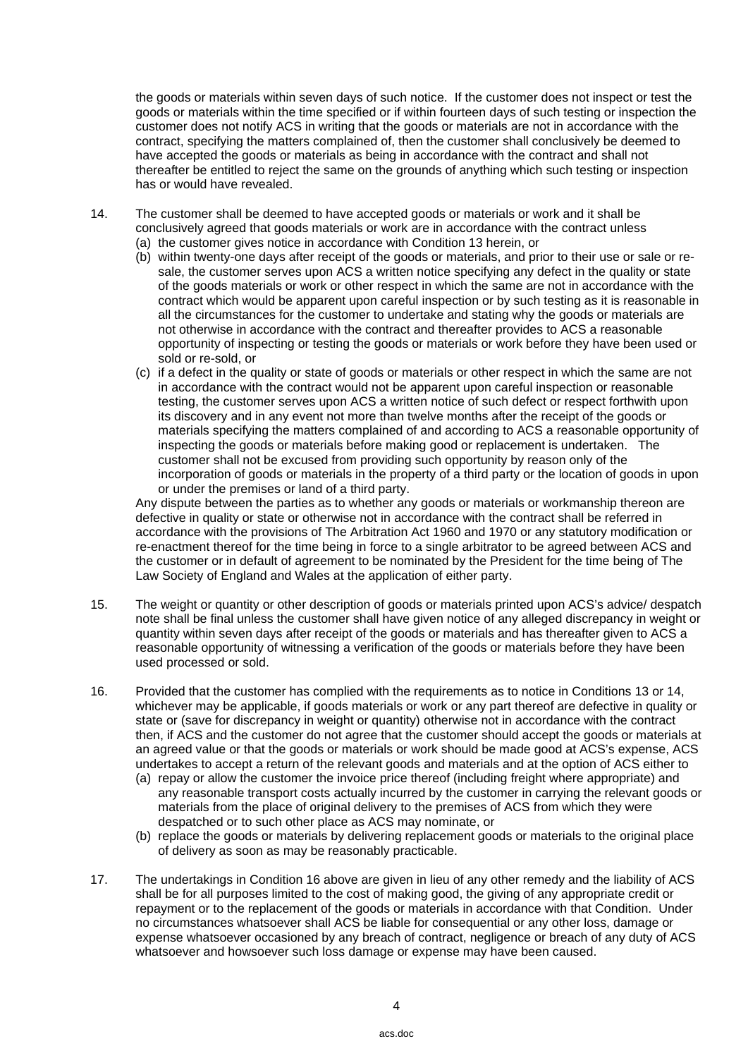the goods or materials within seven days of such notice. If the customer does not inspect or test the goods or materials within the time specified or if within fourteen days of such testing or inspection the customer does not notify ACS in writing that the goods or materials are not in accordance with the contract, specifying the matters complained of, then the customer shall conclusively be deemed to have accepted the goods or materials as being in accordance with the contract and shall not thereafter be entitled to reject the same on the grounds of anything which such testing or inspection has or would have revealed.

- 14. The customer shall be deemed to have accepted goods or materials or work and it shall be conclusively agreed that goods materials or work are in accordance with the contract unless
	- (a) the customer gives notice in accordance with Condition 13 herein, or
	- (b) within twenty-one days after receipt of the goods or materials, and prior to their use or sale or resale, the customer serves upon ACS a written notice specifying any defect in the quality or state of the goods materials or work or other respect in which the same are not in accordance with the contract which would be apparent upon careful inspection or by such testing as it is reasonable in all the circumstances for the customer to undertake and stating why the goods or materials are not otherwise in accordance with the contract and thereafter provides to ACS a reasonable opportunity of inspecting or testing the goods or materials or work before they have been used or sold or re-sold, or
	- (c) if a defect in the quality or state of goods or materials or other respect in which the same are not in accordance with the contract would not be apparent upon careful inspection or reasonable testing, the customer serves upon ACS a written notice of such defect or respect forthwith upon its discovery and in any event not more than twelve months after the receipt of the goods or materials specifying the matters complained of and according to ACS a reasonable opportunity of inspecting the goods or materials before making good or replacement is undertaken. The customer shall not be excused from providing such opportunity by reason only of the incorporation of goods or materials in the property of a third party or the location of goods in upon or under the premises or land of a third party.

 Any dispute between the parties as to whether any goods or materials or workmanship thereon are defective in quality or state or otherwise not in accordance with the contract shall be referred in accordance with the provisions of The Arbitration Act 1960 and 1970 or any statutory modification or re-enactment thereof for the time being in force to a single arbitrator to be agreed between ACS and the customer or in default of agreement to be nominated by the President for the time being of The Law Society of England and Wales at the application of either party.

- 15. The weight or quantity or other description of goods or materials printed upon ACS's advice/ despatch note shall be final unless the customer shall have given notice of any alleged discrepancy in weight or quantity within seven days after receipt of the goods or materials and has thereafter given to ACS a reasonable opportunity of witnessing a verification of the goods or materials before they have been used processed or sold.
- 16. Provided that the customer has complied with the requirements as to notice in Conditions 13 or 14, whichever may be applicable, if goods materials or work or any part thereof are defective in quality or state or (save for discrepancy in weight or quantity) otherwise not in accordance with the contract then, if ACS and the customer do not agree that the customer should accept the goods or materials at an agreed value or that the goods or materials or work should be made good at ACS's expense, ACS undertakes to accept a return of the relevant goods and materials and at the option of ACS either to
	- (a) repay or allow the customer the invoice price thereof (including freight where appropriate) and any reasonable transport costs actually incurred by the customer in carrying the relevant goods or materials from the place of original delivery to the premises of ACS from which they were despatched or to such other place as ACS may nominate, or
	- (b) replace the goods or materials by delivering replacement goods or materials to the original place of delivery as soon as may be reasonably practicable.
- 17. The undertakings in Condition 16 above are given in lieu of any other remedy and the liability of ACS shall be for all purposes limited to the cost of making good, the giving of any appropriate credit or repayment or to the replacement of the goods or materials in accordance with that Condition. Under no circumstances whatsoever shall ACS be liable for consequential or any other loss, damage or expense whatsoever occasioned by any breach of contract, negligence or breach of any duty of ACS whatsoever and howsoever such loss damage or expense may have been caused.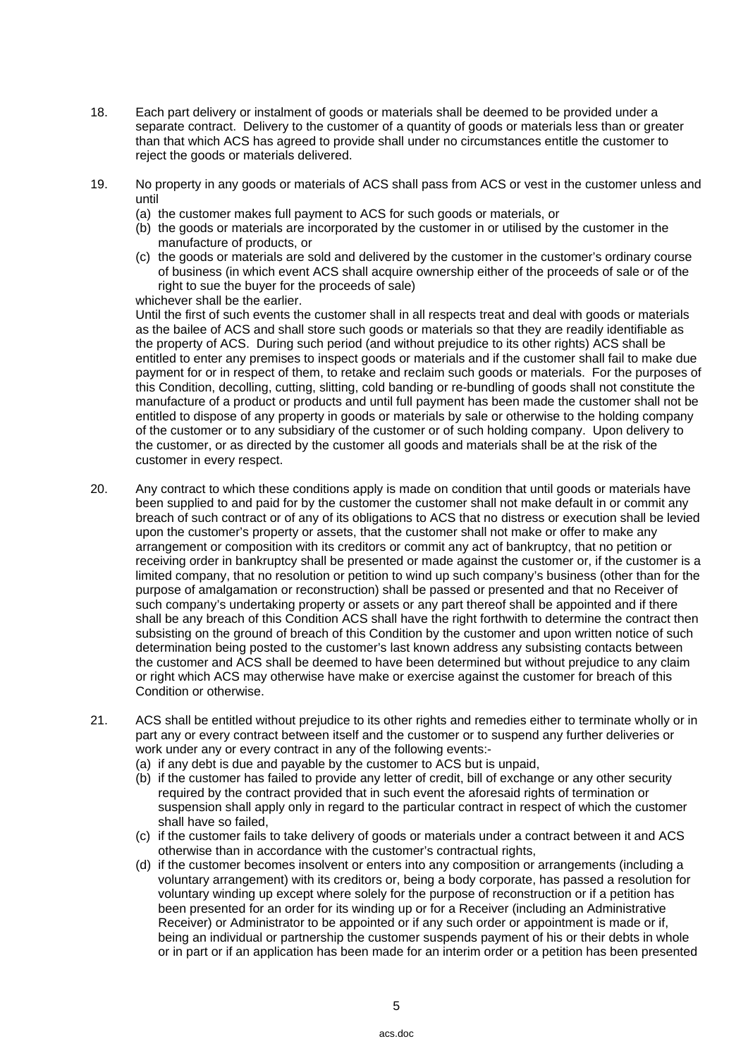- 18. Each part delivery or instalment of goods or materials shall be deemed to be provided under a separate contract. Delivery to the customer of a quantity of goods or materials less than or greater than that which ACS has agreed to provide shall under no circumstances entitle the customer to reject the goods or materials delivered.
- 19. No property in any goods or materials of ACS shall pass from ACS or vest in the customer unless and until
	- (a) the customer makes full payment to ACS for such goods or materials, or
	- (b) the goods or materials are incorporated by the customer in or utilised by the customer in the manufacture of products, or
	- (c) the goods or materials are sold and delivered by the customer in the customer's ordinary course of business (in which event ACS shall acquire ownership either of the proceeds of sale or of the right to sue the buyer for the proceeds of sale) whichever shall be the earlier.

 Until the first of such events the customer shall in all respects treat and deal with goods or materials as the bailee of ACS and shall store such goods or materials so that they are readily identifiable as the property of ACS. During such period (and without prejudice to its other rights) ACS shall be entitled to enter any premises to inspect goods or materials and if the customer shall fail to make due payment for or in respect of them, to retake and reclaim such goods or materials. For the purposes of this Condition, decolling, cutting, slitting, cold banding or re-bundling of goods shall not constitute the manufacture of a product or products and until full payment has been made the customer shall not be entitled to dispose of any property in goods or materials by sale or otherwise to the holding company of the customer or to any subsidiary of the customer or of such holding company. Upon delivery to the customer, or as directed by the customer all goods and materials shall be at the risk of the customer in every respect.

- 20. Any contract to which these conditions apply is made on condition that until goods or materials have been supplied to and paid for by the customer the customer shall not make default in or commit any breach of such contract or of any of its obligations to ACS that no distress or execution shall be levied upon the customer's property or assets, that the customer shall not make or offer to make any arrangement or composition with its creditors or commit any act of bankruptcy, that no petition or receiving order in bankruptcy shall be presented or made against the customer or, if the customer is a limited company, that no resolution or petition to wind up such company's business (other than for the purpose of amalgamation or reconstruction) shall be passed or presented and that no Receiver of such company's undertaking property or assets or any part thereof shall be appointed and if there shall be any breach of this Condition ACS shall have the right forthwith to determine the contract then subsisting on the ground of breach of this Condition by the customer and upon written notice of such determination being posted to the customer's last known address any subsisting contacts between the customer and ACS shall be deemed to have been determined but without prejudice to any claim or right which ACS may otherwise have make or exercise against the customer for breach of this Condition or otherwise.
- 21. ACS shall be entitled without prejudice to its other rights and remedies either to terminate wholly or in part any or every contract between itself and the customer or to suspend any further deliveries or work under any or every contract in any of the following events:-
	- (a) if any debt is due and payable by the customer to ACS but is unpaid,
	- (b) if the customer has failed to provide any letter of credit, bill of exchange or any other security required by the contract provided that in such event the aforesaid rights of termination or suspension shall apply only in regard to the particular contract in respect of which the customer shall have so failed,
	- (c) if the customer fails to take delivery of goods or materials under a contract between it and ACS otherwise than in accordance with the customer's contractual rights,
	- (d) if the customer becomes insolvent or enters into any composition or arrangements (including a voluntary arrangement) with its creditors or, being a body corporate, has passed a resolution for voluntary winding up except where solely for the purpose of reconstruction or if a petition has been presented for an order for its winding up or for a Receiver (including an Administrative Receiver) or Administrator to be appointed or if any such order or appointment is made or if, being an individual or partnership the customer suspends payment of his or their debts in whole or in part or if an application has been made for an interim order or a petition has been presented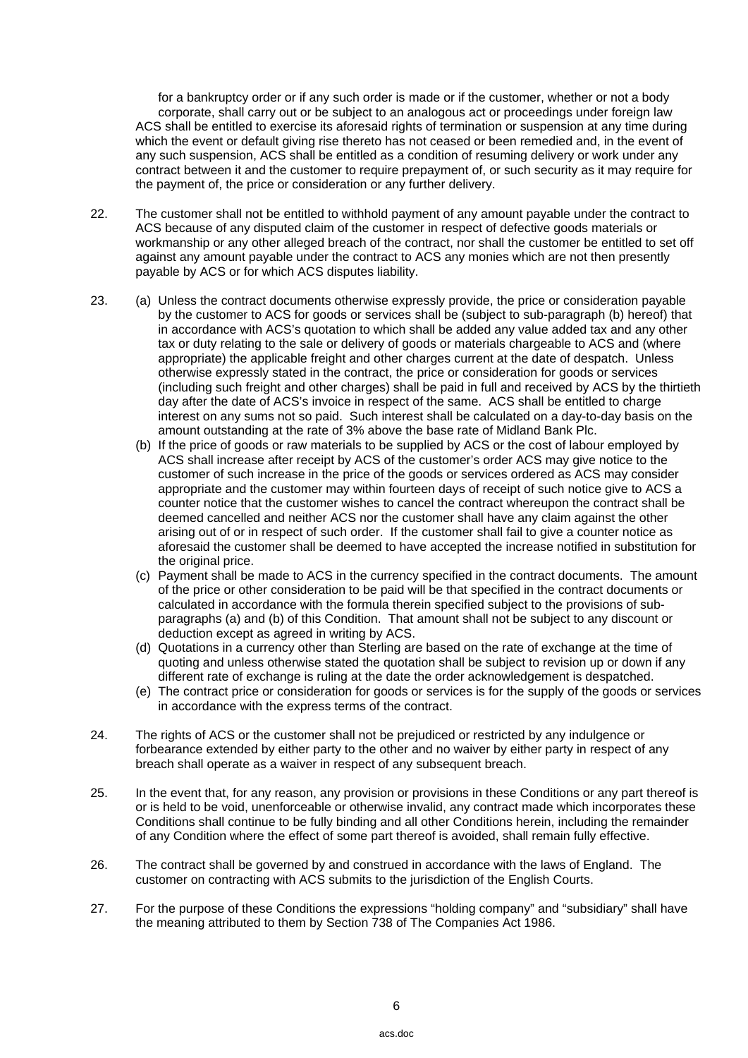for a bankruptcy order or if any such order is made or if the customer, whether or not a body corporate, shall carry out or be subject to an analogous act or proceedings under foreign law ACS shall be entitled to exercise its aforesaid rights of termination or suspension at any time during which the event or default giving rise thereto has not ceased or been remedied and, in the event of any such suspension, ACS shall be entitled as a condition of resuming delivery or work under any contract between it and the customer to require prepayment of, or such security as it may require for the payment of, the price or consideration or any further delivery.

- 22. The customer shall not be entitled to withhold payment of any amount payable under the contract to ACS because of any disputed claim of the customer in respect of defective goods materials or workmanship or any other alleged breach of the contract, nor shall the customer be entitled to set off against any amount payable under the contract to ACS any monies which are not then presently payable by ACS or for which ACS disputes liability.
- 23. (a) Unless the contract documents otherwise expressly provide, the price or consideration payable by the customer to ACS for goods or services shall be (subject to sub-paragraph (b) hereof) that in accordance with ACS's quotation to which shall be added any value added tax and any other tax or duty relating to the sale or delivery of goods or materials chargeable to ACS and (where appropriate) the applicable freight and other charges current at the date of despatch. Unless otherwise expressly stated in the contract, the price or consideration for goods or services (including such freight and other charges) shall be paid in full and received by ACS by the thirtieth day after the date of ACS's invoice in respect of the same. ACS shall be entitled to charge interest on any sums not so paid. Such interest shall be calculated on a day-to-day basis on the amount outstanding at the rate of 3% above the base rate of Midland Bank Plc.
	- (b) If the price of goods or raw materials to be supplied by ACS or the cost of labour employed by ACS shall increase after receipt by ACS of the customer's order ACS may give notice to the customer of such increase in the price of the goods or services ordered as ACS may consider appropriate and the customer may within fourteen days of receipt of such notice give to ACS a counter notice that the customer wishes to cancel the contract whereupon the contract shall be deemed cancelled and neither ACS nor the customer shall have any claim against the other arising out of or in respect of such order. If the customer shall fail to give a counter notice as aforesaid the customer shall be deemed to have accepted the increase notified in substitution for the original price.
	- (c) Payment shall be made to ACS in the currency specified in the contract documents. The amount of the price or other consideration to be paid will be that specified in the contract documents or calculated in accordance with the formula therein specified subject to the provisions of subparagraphs (a) and (b) of this Condition. That amount shall not be subject to any discount or deduction except as agreed in writing by ACS.
	- (d) Quotations in a currency other than Sterling are based on the rate of exchange at the time of quoting and unless otherwise stated the quotation shall be subject to revision up or down if any different rate of exchange is ruling at the date the order acknowledgement is despatched.
	- (e) The contract price or consideration for goods or services is for the supply of the goods or services in accordance with the express terms of the contract.
- 24. The rights of ACS or the customer shall not be prejudiced or restricted by any indulgence or forbearance extended by either party to the other and no waiver by either party in respect of any breach shall operate as a waiver in respect of any subsequent breach.
- 25. In the event that, for any reason, any provision or provisions in these Conditions or any part thereof is or is held to be void, unenforceable or otherwise invalid, any contract made which incorporates these Conditions shall continue to be fully binding and all other Conditions herein, including the remainder of any Condition where the effect of some part thereof is avoided, shall remain fully effective.
- 26. The contract shall be governed by and construed in accordance with the laws of England. The customer on contracting with ACS submits to the jurisdiction of the English Courts.
- 27. For the purpose of these Conditions the expressions "holding company" and "subsidiary" shall have the meaning attributed to them by Section 738 of The Companies Act 1986.